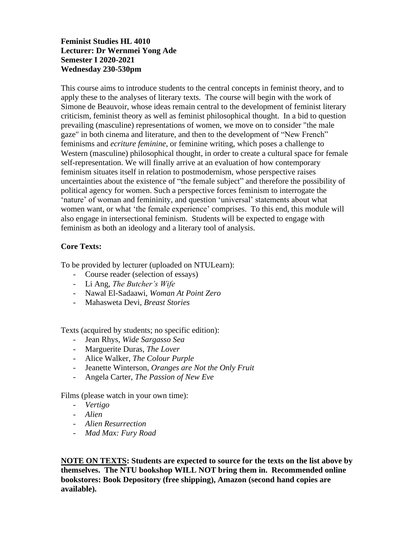### **Feminist Studies HL 4010 Lecturer: Dr Wernmei Yong Ade Semester I 2020-2021 Wednesday 230-530pm**

This course aims to introduce students to the central concepts in feminist theory, and to apply these to the analyses of literary texts. The course will begin with the work of Simone de Beauvoir, whose ideas remain central to the development of feminist literary criticism, feminist theory as well as feminist philosophical thought. In a bid to question prevailing (masculine) representations of women, we move on to consider "the male gaze" in both cinema and literature, and then to the development of "New French" feminisms and *ecriture feminine*, or feminine writing, which poses a challenge to Western (masculine) philosophical thought, in order to create a cultural space for female self-representation. We will finally arrive at an evaluation of how contemporary feminism situates itself in relation to postmodernism, whose perspective raises uncertainties about the existence of "the female subject" and therefore the possibility of political agency for women. Such a perspective forces feminism to interrogate the 'nature' of woman and femininity, and question 'universal' statements about what women want, or what 'the female experience' comprises. To this end, this module will also engage in intersectional feminism. Students will be expected to engage with feminism as both an ideology and a literary tool of analysis.

## **Core Texts:**

To be provided by lecturer (uploaded on NTULearn):

- Course reader (selection of essays)
- Li Ang, *The Butcher's Wife*
- Nawal El-Sadaawi, *Woman At Point Zero*
- Mahasweta Devi, *Breast Stories*

Texts (acquired by students; no specific edition):

- Jean Rhys, *Wide Sargasso Sea*
- Marguerite Duras, *The Lover*
- Alice Walker, *The Colour Purple*
- Jeanette Winterson, *Oranges are Not the Only Fruit*
- Angela Carter, *The Passion of New Eve*

Films (please watch in your own time):

- *Vertigo*
- *Alien*
- *Alien Resurrection*
- *Mad Max: Fury Road*

**NOTE ON TEXTS: Students are expected to source for the texts on the list above by themselves. The NTU bookshop WILL NOT bring them in. Recommended online bookstores: Book Depository (free shipping), Amazon (second hand copies are available).**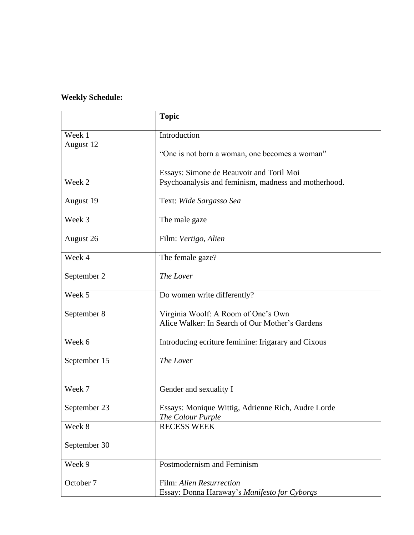# **Weekly Schedule:**

|                     | <b>Topic</b>                                                                           |  |  |  |
|---------------------|----------------------------------------------------------------------------------------|--|--|--|
| Week 1<br>August 12 | Introduction                                                                           |  |  |  |
|                     | "One is not born a woman, one becomes a woman"                                         |  |  |  |
|                     | Essays: Simone de Beauvoir and Toril Moi                                               |  |  |  |
| Week 2              | Psychoanalysis and feminism, madness and motherhood.                                   |  |  |  |
| August 19           | Text: Wide Sargasso Sea                                                                |  |  |  |
| Week 3              | The male gaze                                                                          |  |  |  |
| August 26           | Film: Vertigo, Alien                                                                   |  |  |  |
| Week 4              | The female gaze?                                                                       |  |  |  |
| September 2         | The Lover                                                                              |  |  |  |
| Week 5              | Do women write differently?                                                            |  |  |  |
| September 8         | Virginia Woolf: A Room of One's Own<br>Alice Walker: In Search of Our Mother's Gardens |  |  |  |
| Week 6              | Introducing ecriture feminine: Irigarary and Cixous                                    |  |  |  |
| September 15        | The Lover                                                                              |  |  |  |
| Week 7              | Gender and sexuality I                                                                 |  |  |  |
| September 23        | Essays: Monique Wittig, Adrienne Rich, Audre Lorde<br>The Colour Purple                |  |  |  |
| Week 8              | <b>RECESS WEEK</b>                                                                     |  |  |  |
| September 30        |                                                                                        |  |  |  |
| Week 9              | Postmodernism and Feminism                                                             |  |  |  |
| October 7           | Film: Alien Resurrection<br>Essay: Donna Haraway's Manifesto for Cyborgs               |  |  |  |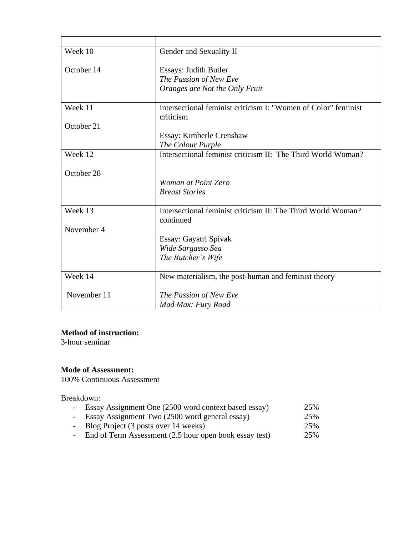| Week 10                               | Gender and Sexuality II                                        |  |  |
|---------------------------------------|----------------------------------------------------------------|--|--|
| October 14                            | <b>Essays: Judith Butler</b>                                   |  |  |
|                                       | The Passion of New Eve                                         |  |  |
|                                       | Oranges are Not the Only Fruit                                 |  |  |
| Week 11                               | Intersectional feminist criticism I: "Women of Color" feminist |  |  |
|                                       | criticism                                                      |  |  |
| October 21                            |                                                                |  |  |
|                                       | Essay: Kimberle Crenshaw                                       |  |  |
|                                       | The Colour Purple                                              |  |  |
| Week 12                               | Intersectional feminist criticism II: The Third World Woman?   |  |  |
|                                       |                                                                |  |  |
| October 28                            |                                                                |  |  |
|                                       | Woman at Point Zero<br><b>Breast Stories</b>                   |  |  |
|                                       |                                                                |  |  |
| Week 13                               | Intersectional feminist criticism II: The Third World Woman?   |  |  |
|                                       | continued                                                      |  |  |
| November 4                            |                                                                |  |  |
|                                       | Essay: Gayatri Spivak                                          |  |  |
|                                       | Wide Sargasso Sea                                              |  |  |
|                                       | The Butcher's Wife                                             |  |  |
| Week 14                               | New materialism, the post-human and feminist theory            |  |  |
|                                       |                                                                |  |  |
| November 11<br>The Passion of New Eve |                                                                |  |  |
|                                       | Mad Max: Fury Road                                             |  |  |

#### **Method of instruction:**

3-hour seminar

#### **Mode of Assessment:**

100% Continuous Assessment

Breakdown:

|  |  |  | Essay Assignment One (2500 word context based essay) | 25% |
|--|--|--|------------------------------------------------------|-----|
|--|--|--|------------------------------------------------------|-----|

- Essay Assignment Two (2500 word general essay) 25%
- 
- Blog Project (3 posts over 14 weeks)<br>- End of Term Assessment (2.5 hour open book essay test) 25% - End of Term Assessment  $(2.5$  hour open book essay test)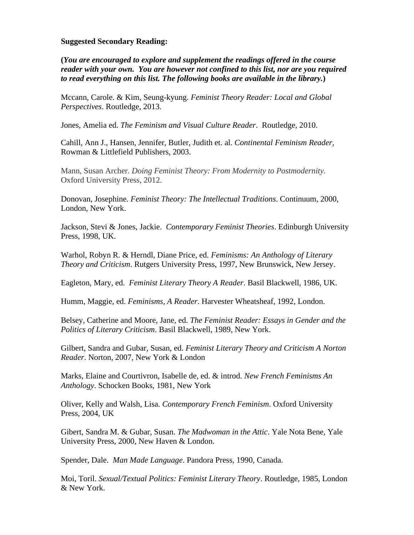#### **Suggested Secondary Reading:**

**(***You are encouraged to explore and supplement the readings offered in the course reader with your own. You are however not confined to this list, nor are you required to read everything on this list. The following books are available in the library.***)**

Mccann, Carole. & Kim, Seung-kyung. *Feminist Theory Reader: Local and Global Perspectives*. Routledge, 2013.

Jones, Amelia ed. *The Feminism and Visual Culture Reader*. Routledge, 2010.

Cahill, Ann J., Hansen, Jennifer, Butler, Judith et. al. *Continental Feminism Reader*, Rowman & Littlefield Publishers, 2003.

Mann, Susan Archer. *Doing Feminist Theory: From Modernity to Postmodernity.*  Oxford University Press, 2012.

Donovan, Josephine. *Feminist Theory: The Intellectual Traditions*. Continuum, 2000, London, New York.

Jackson, Stevi & Jones, Jackie. *Contemporary Feminist Theories*. Edinburgh University Press, 1998, UK.

Warhol, Robyn R. & Herndl, Diane Price, ed. *Feminisms: An Anthology of Literary Theory and Criticism*. Rutgers University Press, 1997, New Brunswick, New Jersey.

Eagleton, Mary, ed. *Feminist Literary Theory A Reader*. Basil Blackwell, 1986, UK.

Humm, Maggie, ed. *Feminisms, A Reader*. Harvester Wheatsheaf, 1992, London.

Belsey, Catherine and Moore, Jane, ed. *The Feminist Reader: Essays in Gender and the Politics of Literary Criticism*. Basil Blackwell, 1989, New York.

Gilbert, Sandra and Gubar, Susan, ed. *Feminist Literary Theory and Criticism A Norton Reader*. Norton, 2007, New York & London

Marks, Elaine and Courtivron, Isabelle de, ed. & introd. *New French Feminisms An Anthology*. Schocken Books, 1981, New York

Oliver, Kelly and Walsh, Lisa. *Contemporary French Feminism*. Oxford University Press, 2004, UK

Gibert, Sandra M. & Gubar, Susan. *The Madwoman in the Attic*. Yale Nota Bene, Yale University Press, 2000, New Haven & London.

Spender, Dale. *Man Made Language*. Pandora Press, 1990, Canada.

Moi, Toril. *Sexual/Textual Politics: Feminist Literary Theory*. Routledge, 1985, London & New York.